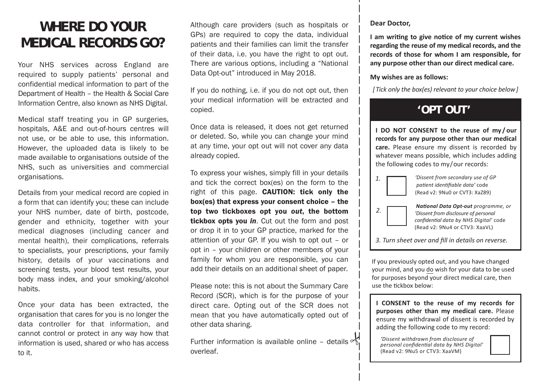# **WHERE DO YOUR MEDICAL RECORDS GO?**

Your NHS services across England are required to supply patients' personal and confidential medical information to part of the Department of Health – the Health & Social Care Information Centre, also known as NHS Digital.

Medical staff treating you in GP surgeries, hospitals, A&E and out-of-hours centres will not use, or be able to use, this information. However, the uploaded data is likely to be made available to organisations outside of the NHS, such as universities and commercial organisations.

Details from your medical record are copied in a form that can identify you; these can include your NHS number, date of birth, postcode, gender and ethnicity, together with your medical diagnoses (including cancer and mental health), their complications, referrals to specialists, your prescriptions, your family history, details of your vaccinations and screening tests, your blood test results, your body mass index, and your smoking/alcohol habits.

Once your data has been extracted, the organisation that cares for you is no longer the data controller for that information, and cannot control or protect in any way how that information is used, shared or who has access to it.

Although care providers (such as hospitals or GPs) are required to copy the data, individual patients and their families can limit the transfer of their data, i.e. you have the right to opt out. There are various options, including a "National Data Opt-out" introduced in May 2018.

If you do nothing, i.e. if you do not opt out, then your medical information will be extracted and copied.

Once data is released, it does not get returned or deleted. So, while you can change your mind at any time, your opt out will not cover any data already copied.

To express your wishes, simply fill in your details and tick the correct box(es) on the form to the right of this page. **CAUTION: tick only the** box(es) that express your consent choice – the top two tickboxes opt you *out*, the bottom tickbox opts you *in*. Cut out the form and post or drop it in to your GP practice, marked for the attention of your GP. If you wish to opt out – or opt in – your children or other members of your family for whom you are responsible, you can add their details on an additional sheet of paper.

Please note: this is not about the Summary Care Record (SCR), which is for the purpose of your direct care. Opting out of the SCR does not mean that you have automatically opted out of other data sharing.

Further information is available online - details  $\sim$ overleaf.

#### **Dear Doctor,**

**I am writing to give notice of my current wishes regarding the reuse of my medical records, and the records of those for whom I am responsible, for any purpose other than our direct medical care.**

#### **My wishes are as follows:**

*[ Tick only the box(es) relevant to your choice below ]*

## **'OPT OUT'**

**I DO NOT CONSENT to the reuse of my / our records for any purpose other than our medical care.** Please ensure my dissent is recorded by whatever means possible, which includes adding the following codes to my / our records:

*1.*

*2.*



 *National Data Opt-out programme, or 'Dissent from disclosure of personal confidential data by NHS Digital'* code (Read v2: 9Nu4 or CTV3: XaaVL)

*3. Turn sheet over and fill in details on reverse.*

If you previously opted out, and you have changed your mind, and you do wish for your data to be used for purposes beyond your direct medical care, then use the tickbox below:

**I CONSENT to the reuse of my records for purposes other than my medical care.** Please ensure my withdrawal of dissent is recorded by adding the following code to my record:

 *'Dissent withdrawn from disclosure of personal confidential data by NHS Digital'* (Read v2: 9Nu5 or CTV3: XaaVM)